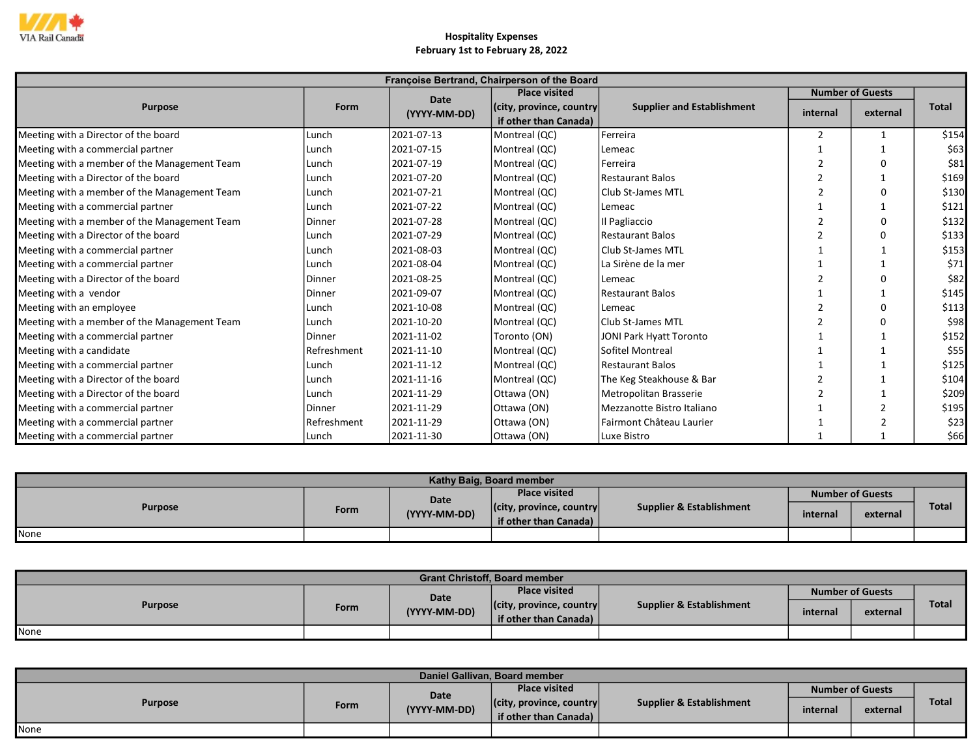

|                                              |               |              | Françoise Bertrand, Chairperson of the Board |                                   |                         |          |              |
|----------------------------------------------|---------------|--------------|----------------------------------------------|-----------------------------------|-------------------------|----------|--------------|
|                                              |               | <b>Date</b>  | <b>Place visited</b>                         |                                   | <b>Number of Guests</b> |          |              |
| <b>Purpose</b>                               | Form          | (YYYY-MM-DD) | (city, province, country                     | <b>Supplier and Establishment</b> | internal                | external | <b>Total</b> |
|                                              |               |              | if other than Canada)                        |                                   |                         |          |              |
| Meeting with a Director of the board         | Lunch         | 2021-07-13   | Montreal (QC)                                | Ferreira                          |                         |          | \$154        |
| Meeting with a commercial partner            | Lunch         | 2021-07-15   | Montreal (QC)                                | l Lemeac                          |                         |          | \$63         |
| Meeting with a member of the Management Team | Lunch         | 2021-07-19   | Montreal (QC)                                | <b>Ferreira</b>                   |                         | $\Omega$ | \$81         |
| Meeting with a Director of the board         | Lunch         | 2021-07-20   | Montreal (QC)                                | Restaurant Balos                  |                         |          | \$169        |
| Meeting with a member of the Management Team | Lunch         | 2021-07-21   | Montreal (QC)                                | l Club St-James MTL               |                         | ŋ        | \$130        |
| Meeting with a commercial partner            | Lunch         | 2021-07-22   | Montreal (QC)                                | Lemeac                            |                         |          | \$121        |
| Meeting with a member of the Management Team | Dinner        | 2021-07-28   | Montreal (QC)                                | Il Pagliaccio                     |                         | O        | \$132        |
| Meeting with a Director of the board         | Lunch         | 2021-07-29   | Montreal (QC)                                | <b>Restaurant Balos</b>           |                         | 0        | \$133        |
| Meeting with a commercial partner            | Lunch         | 2021-08-03   | Montreal (QC)                                | Club St-James MTL                 |                         |          | \$153        |
| Meeting with a commercial partner            | Lunch         | 2021-08-04   | Montreal (QC)                                | La Sirène de la mer               |                         |          | \$71         |
| Meeting with a Director of the board         | Dinner        | 2021-08-25   | Montreal (QC)                                | Lemeac                            |                         | $\Omega$ | \$82         |
| Meeting with a vendor                        | Dinner        | 2021-09-07   | Montreal (QC)                                | Restaurant Balos                  |                         |          | \$145        |
| Meeting with an employee                     | Lunch         | 2021-10-08   | Montreal (QC)                                | Lemeac                            |                         | O        | \$113        |
| Meeting with a member of the Management Team | Lunch         | 2021-10-20   | Montreal (QC)                                | Club St-James MTL                 |                         | O        | \$98         |
| Meeting with a commercial partner            | Dinner        | 2021-11-02   | Toronto (ON)                                 | <b>JONI Park Hyatt Toronto</b>    |                         |          | \$152        |
| Meeting with a candidate                     | Refreshment   | 2021-11-10   | Montreal (QC)                                | Sofitel Montreal                  |                         |          | \$55         |
| Meeting with a commercial partner            | Lunch         | 2021-11-12   | Montreal (QC)                                | Restaurant Balos                  |                         |          | \$125        |
| Meeting with a Director of the board         | Lunch         | 2021-11-16   | Montreal (QC)                                | The Keg Steakhouse & Bar          |                         |          | \$104        |
| Meeting with a Director of the board         | Lunch         | 2021-11-29   | Ottawa (ON)                                  | Metropolitan Brasserie            |                         |          | \$209        |
| Meeting with a commercial partner            | <b>Dinner</b> | 2021-11-29   | Ottawa (ON)                                  | Mezzanotte Bistro Italiano        |                         |          | \$195        |
| Meeting with a commercial partner            | Refreshment   | 2021-11-29   | Ottawa (ON)                                  | Fairmont Château Laurier          |                         |          | \$23         |
| Meeting with a commercial partner            | Lunch         | 2021-11-30   | Ottawa (ON)                                  | Luxe Bistro                       |                         |          | \$66         |

| Kathy Baig, Board member |      |              |                                  |                          |          |                         |              |  |  |  |
|--------------------------|------|--------------|----------------------------------|--------------------------|----------|-------------------------|--------------|--|--|--|
| <b>Purpose</b>           |      | Date         | <b>Place visited</b>             |                          |          | <b>Number of Guests</b> |              |  |  |  |
|                          | Form | (YYYY-MM-DD) | $ $ (city, province, country $ $ | Supplier & Establishment | internal | external                | <b>Total</b> |  |  |  |
|                          |      |              | if other than Canada)            |                          |          |                         |              |  |  |  |
| <b>None</b>              |      |              |                                  |                          |          |                         |              |  |  |  |

| <b>Grant Christoff, Board member</b> |      |              |                                  |                          |                         |          |              |  |  |
|--------------------------------------|------|--------------|----------------------------------|--------------------------|-------------------------|----------|--------------|--|--|
| <b>Purpose</b>                       |      | <b>Date</b>  | <b>Place visited</b>             |                          | <b>Number of Guests</b> |          |              |  |  |
|                                      | Form | (YYYY-MM-DD) | $ $ (city, province, country $ $ | Supplier & Establishment | internal                | external | <b>Total</b> |  |  |
|                                      |      |              | if other than Canada)            |                          |                         |          |              |  |  |
| None                                 |      |              |                                  |                          |                         |          |              |  |  |

| Daniel Gallivan, Board member |      |                      |                                  |                          |                         |          |       |  |  |  |
|-------------------------------|------|----------------------|----------------------------------|--------------------------|-------------------------|----------|-------|--|--|--|
| <b>Purpose</b>                | Form | Date<br>(YYYY-MM-DD) | <b>Place visited</b>             | Supplier & Establishment | <b>Number of Guests</b> |          |       |  |  |  |
|                               |      |                      | $ $ (city, province, country $ $ |                          | internal                | external | Total |  |  |  |
|                               |      |                      | if other than Canada)            |                          |                         |          |       |  |  |  |
| None                          |      |                      |                                  |                          |                         |          |       |  |  |  |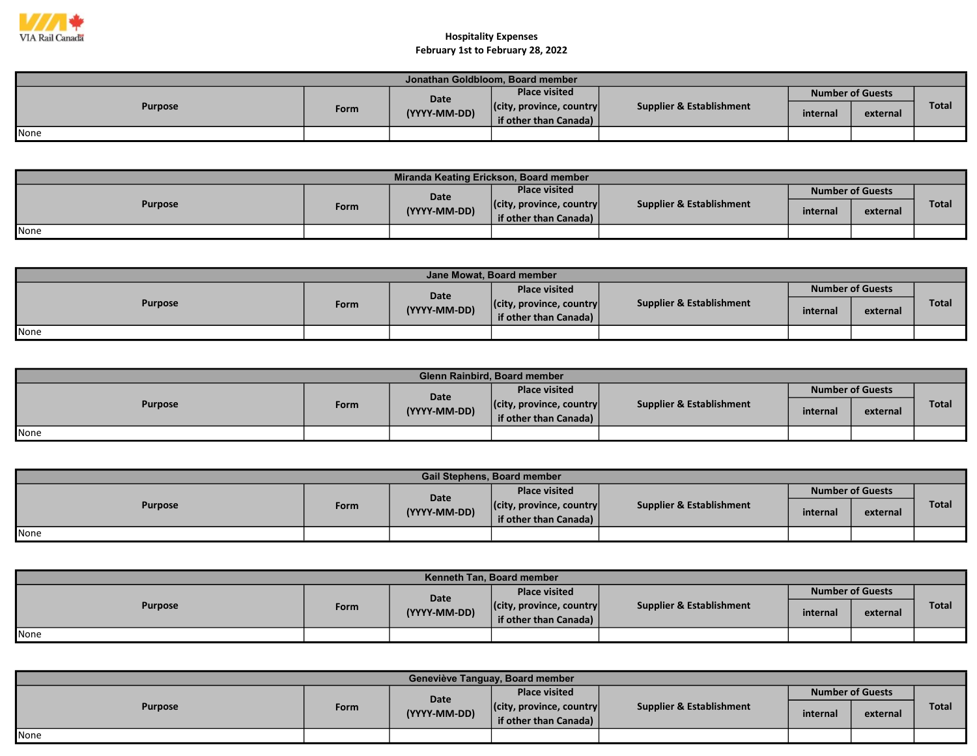

| Jonathan Goldbloom, Board member |      |              |                                  |                          |                         |          |       |  |  |  |
|----------------------------------|------|--------------|----------------------------------|--------------------------|-------------------------|----------|-------|--|--|--|
| <b>Purpose</b>                   |      | Date         | <b>Place visited</b>             |                          | <b>Number of Guests</b> |          |       |  |  |  |
|                                  | Form | (YYYY-MM-DD) | $ $ (city, province, country $ $ | Supplier & Establishment | internal                | external | Total |  |  |  |
|                                  |      |              | if other than Canada)            |                          |                         |          |       |  |  |  |
| None                             |      |              |                                  |                          |                         |          |       |  |  |  |

| Miranda Keating Erickson, Board member |      |              |                                  |                                     |          |                         |              |  |  |  |
|----------------------------------------|------|--------------|----------------------------------|-------------------------------------|----------|-------------------------|--------------|--|--|--|
| <b>Purpose</b>                         |      | <b>Date</b>  | <b>Place visited</b>             |                                     |          | <b>Number of Guests</b> |              |  |  |  |
|                                        | Form | (YYYY-MM-DD) | $ $ (city, province, country $ $ | <b>Supplier &amp; Establishment</b> | internal | external                | <b>Total</b> |  |  |  |
|                                        |      |              | if other than Canada) $\vert$    |                                     |          |                         |              |  |  |  |
| None                                   |      |              |                                  |                                     |          |                         |              |  |  |  |

| Jane Mowat. Board member |      |              |                                  |                          |          |                         |              |  |  |
|--------------------------|------|--------------|----------------------------------|--------------------------|----------|-------------------------|--------------|--|--|
| <b>Purpose</b>           |      | <b>Date</b>  | <b>Place visited</b>             | Supplier & Establishment |          | <b>Number of Guests</b> |              |  |  |
|                          | Form | (YYYY-MM-DD) | $ $ (city, province, country $ $ |                          | internal | external                | <b>Total</b> |  |  |
|                          |      |              | if other than Canada)            |                          |          |                         |              |  |  |
| None                     |      |              |                                  |                          |          |                         |              |  |  |

| <b>Glenn Rainbird, Board member</b> |             |              |                                  |                          |                         |          |              |  |  |  |
|-------------------------------------|-------------|--------------|----------------------------------|--------------------------|-------------------------|----------|--------------|--|--|--|
| <b>Purpose</b>                      |             | <b>Date</b>  | <b>Place visited</b>             | Supplier & Establishment | <b>Number of Guests</b> |          |              |  |  |  |
|                                     | <b>Form</b> | (YYYY-MM-DD) | $ $ (city, province, country $ $ |                          | internal                | external | <b>Total</b> |  |  |  |
|                                     |             |              | if other than Canada)            |                          |                         |          |              |  |  |  |
| None                                |             |              |                                  |                          |                         |          |              |  |  |  |

| <b>Gail Stephens, Board member</b> |      |              |                                                           |                          |                         |          |              |  |  |  |
|------------------------------------|------|--------------|-----------------------------------------------------------|--------------------------|-------------------------|----------|--------------|--|--|--|
| <b>Purpose</b>                     |      | Date         | <b>Place visited</b>                                      |                          | <b>Number of Guests</b> |          |              |  |  |  |
|                                    | Form | (YYYY-MM-DD) | $ $ (city, province, country $ $<br>if other than Canada) | Supplier & Establishment | internal                | external | <b>Total</b> |  |  |  |
| None                               |      |              |                                                           |                          |                         |          |              |  |  |  |

| Kenneth Tan, Board member |      |              |                                  |                                     |          |                         |              |  |  |  |
|---------------------------|------|--------------|----------------------------------|-------------------------------------|----------|-------------------------|--------------|--|--|--|
| <b>Purpose</b>            |      | Date         | <b>Place visited</b>             |                                     |          | <b>Number of Guests</b> |              |  |  |  |
|                           | Form | (YYYY-MM-DD) | $ $ (city, province, country $ $ | <b>Supplier &amp; Establishment</b> | internal | external                | <b>Total</b> |  |  |  |
|                           |      |              | if other than Canada)            |                                     |          |                         |              |  |  |  |
| None                      |      |              |                                  |                                     |          |                         |              |  |  |  |

| Geneviève Tanguay, Board member |      |                      |                                  |                          |                         |          |              |  |  |  |
|---------------------------------|------|----------------------|----------------------------------|--------------------------|-------------------------|----------|--------------|--|--|--|
| <b>Purpose</b>                  |      | Date<br>(YYYY-MM-DD) | <b>Place visited</b>             | Supplier & Establishment | <b>Number of Guests</b> |          |              |  |  |  |
|                                 | Form |                      | $ $ (city, province, country $ $ |                          | internal                | external | <b>Total</b> |  |  |  |
|                                 |      |                      | if other than Canada)            |                          |                         |          |              |  |  |  |
| None                            |      |                      |                                  |                          |                         |          |              |  |  |  |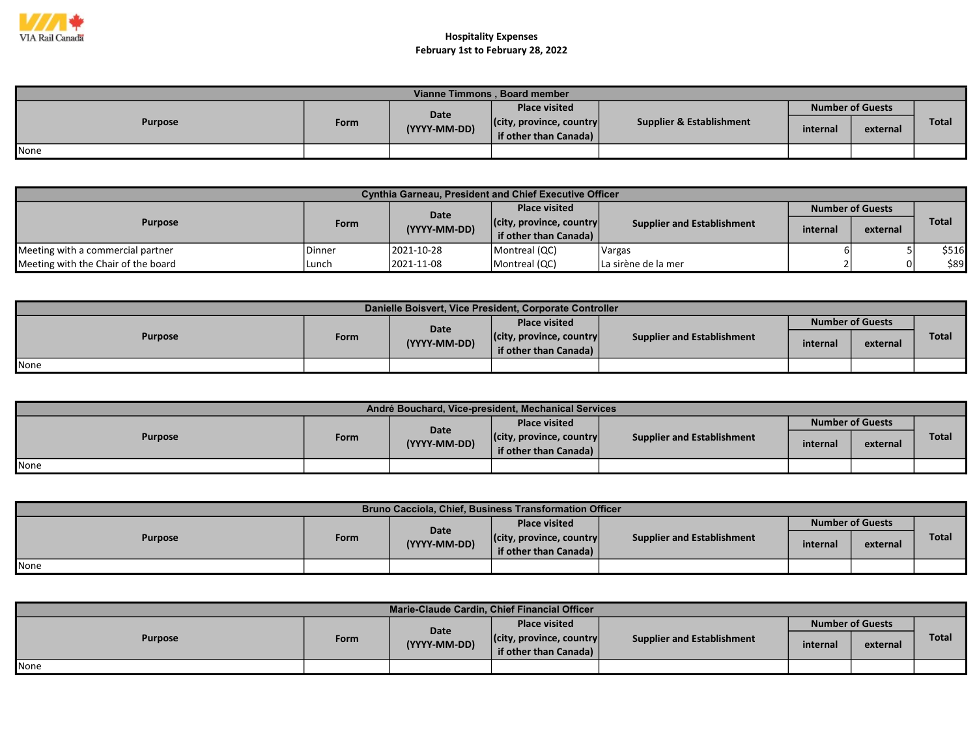

| Vianne Timmons, Board member |      |                      |                                                           |                          |                         |          |              |  |  |
|------------------------------|------|----------------------|-----------------------------------------------------------|--------------------------|-------------------------|----------|--------------|--|--|
|                              |      |                      | <b>Place visited</b>                                      |                          | <b>Number of Guests</b> |          |              |  |  |
| <b>Purpose</b>               | Form | Date<br>(YYYY-MM-DD) | $ $ (city, province, country $ $<br>if other than Canada) | Supplier & Establishment | internal                | external | <b>Total</b> |  |  |
| None                         |      |                      |                                                           |                          |                         |          |              |  |  |

| <b>Cynthia Garneau, President and Chief Executive Officer</b> |        |              |                                  |                                   |                         |          |              |  |  |
|---------------------------------------------------------------|--------|--------------|----------------------------------|-----------------------------------|-------------------------|----------|--------------|--|--|
| <b>Purpose</b>                                                |        | Date         | <b>Place visited</b>             |                                   | <b>Number of Guests</b> |          |              |  |  |
|                                                               | Form   | (YYYY-MM-DD) | $ $ (city, province, country $ $ | <b>Supplier and Establishment</b> | internal                |          | <b>Total</b> |  |  |
|                                                               |        |              | if other than Canada)            |                                   |                         | external |              |  |  |
| Meeting with a commercial partner                             | Dinner | 2021-10-28   | Montreal (QC)                    | <b>Vargas</b>                     |                         |          | \$516        |  |  |
| Meeting with the Chair of the board                           | Lunch  | 2021-11-08   | Montreal (QC)                    | La sirène de la mer               |                         | $\Omega$ | \$89         |  |  |

| Danielle Boisvert, Vice President, Corporate Controller |      |              |                                                           |                            |          |                         |       |  |  |
|---------------------------------------------------------|------|--------------|-----------------------------------------------------------|----------------------------|----------|-------------------------|-------|--|--|
|                                                         |      | Date         | <b>Place visited</b>                                      |                            |          | <b>Number of Guests</b> |       |  |  |
| <b>Purpose</b>                                          | Form | (YYYY-MM-DD) | $ $ (city, province, country $ $<br>if other than Canada) | Supplier and Establishment | internal | external                | Total |  |  |
| None                                                    |      |              |                                                           |                            |          |                         |       |  |  |

| André Bouchard, Vice-president, Mechanical Services |      |              |                                                           |                                   |          |                         |              |  |  |
|-----------------------------------------------------|------|--------------|-----------------------------------------------------------|-----------------------------------|----------|-------------------------|--------------|--|--|
| <b>Purpose</b>                                      |      | Date         | <b>Place visited</b>                                      |                                   |          | <b>Number of Guests</b> |              |  |  |
|                                                     | Form | (YYYY-MM-DD) | $ $ (city, province, country $ $<br>if other than Canada) | <b>Supplier and Establishment</b> | internal | external                | <b>Total</b> |  |  |
| None                                                |      |              |                                                           |                                   |          |                         |              |  |  |

| <b>Bruno Cacciola, Chief, Business Transformation Officer</b> |      |              |                                                           |                                   |                                                 |  |              |  |  |
|---------------------------------------------------------------|------|--------------|-----------------------------------------------------------|-----------------------------------|-------------------------------------------------|--|--------------|--|--|
|                                                               |      | <b>Date</b>  | <b>Place visited</b>                                      |                                   | <b>Number of Guests</b><br>internal<br>external |  |              |  |  |
| <b>Purpose</b>                                                | Form | (YYYY-MM-DD) | $ $ (city, province, country $ $<br>if other than Canada) | <b>Supplier and Establishment</b> |                                                 |  | <b>Total</b> |  |  |
| <b>I</b> None                                                 |      |              |                                                           |                                   |                                                 |  |              |  |  |

| Marie-Claude Cardin, Chief Financial Officer |      |                                                                           |                                   |          |                         |              |  |  |  |
|----------------------------------------------|------|---------------------------------------------------------------------------|-----------------------------------|----------|-------------------------|--------------|--|--|--|
| <b>Purpose</b>                               |      | Date                                                                      | <b>Place visited</b>              |          | <b>Number of Guests</b> |              |  |  |  |
|                                              | Form | $ $ (city, province, country $ $<br>(YYYY-MM-DD)<br>if other than Canada) | <b>Supplier and Establishment</b> | internal | external                | <b>Total</b> |  |  |  |
|                                              |      |                                                                           |                                   |          |                         |              |  |  |  |
| <b>I</b> None                                |      |                                                                           |                                   |          |                         |              |  |  |  |